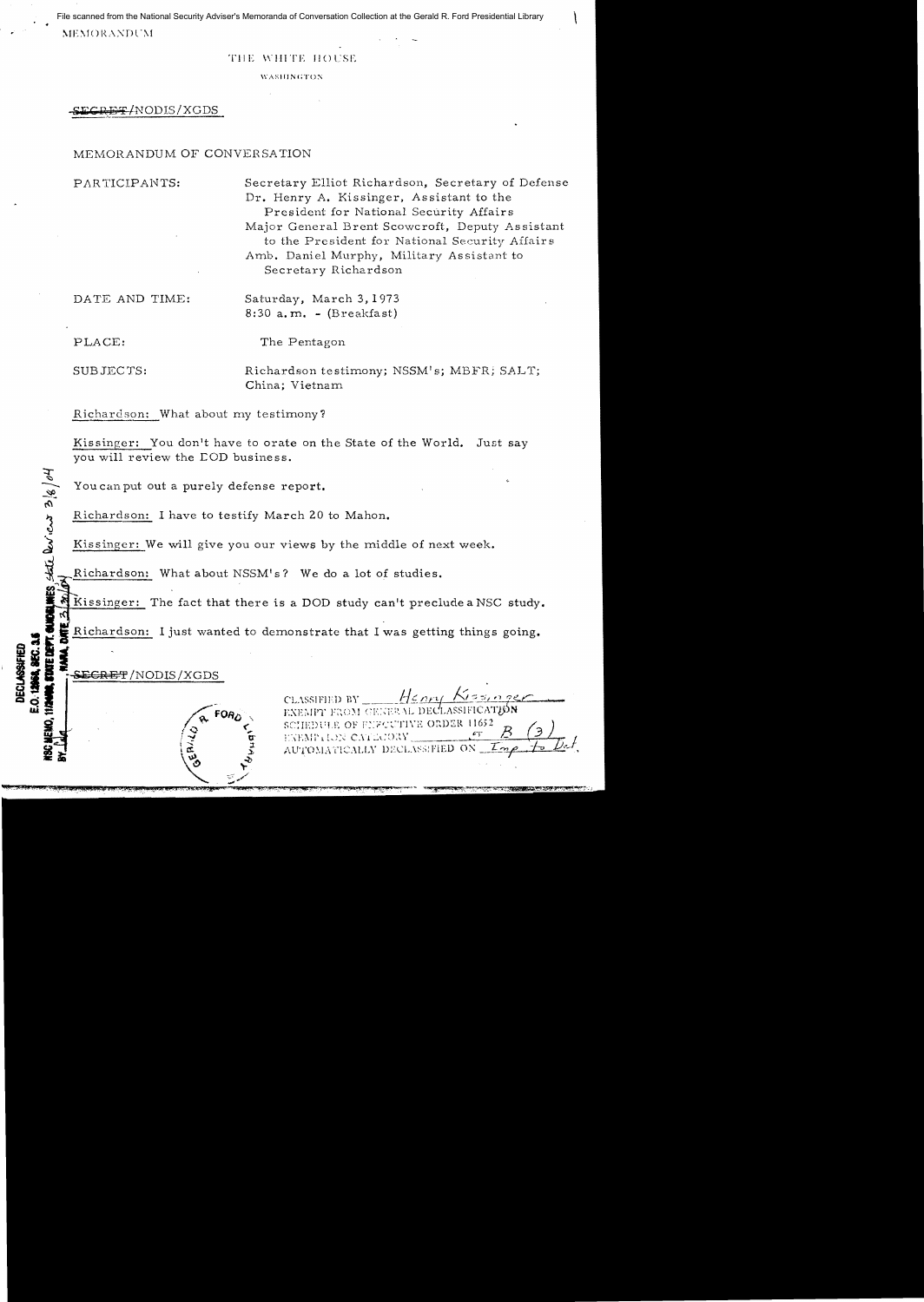· . File scanned from the National Security Adviser's Memoranda of Conversation Collection at the Gerald R. Ford Presidential Library

 $MEMORANDUM$ 

## TIlE WHITE IIOL'SE

**WASHINGTON** 

**RET/NODIS/XGDS** 

## MEMORANDUM OF CONVERSATION

PARTICIPANTS:

Secretary Elliot Richardson, Secretary of Defense Dr. Henry A. Kissinger, Assistant to the President for National Security Affairs Major General Brent Scowcroft, Deputy Assistant to the President for National Security Affair s Amb. Daniel Murphy, Military Assistant to Secretary Richardson

DATE AND TIME:

Saturday, March 3, 1973  $8:30$  a.m. - (Breakfast)

PLACE:

 $\ddot{x}$ '<br>"

 $\omega$ .

**::d\_1 Qd. W;:**  The Pentagon

SUBJECTS:

Richardson testimony; NSSM's; MBFR; SALT; China; Vietnam

Richardson: What about my testimony?

Kissinger: You don't have to orate on the State of the World. Just say you will review the COD business.

You can put out a purely defense report.

Richardson: I have to testify March 20 to Mahon.

Kissinger: We will give you our views by the middle of next week.

Richardson: What about NSSM's? We do a lot of studies.

Kissinger: The fact that there is a DOD study can't preclude a NSC study.

a.<br>Richardson: I just wanted to the Richardson: I just wanted to demonstrate that I was getting things going.<br>
declines and the state of the state of the state of the state of the state of the state of the state of the state of the state of the state of

Henry Ki CLASSIFIED BY EXEMPT FROM GENERAL DECLASSIFICATION SCHEDULE OF FEFCUTIVE ORDER 11652

EXEMPTION CATEGORY AUTOMATICALLY DECLASSIFIED ON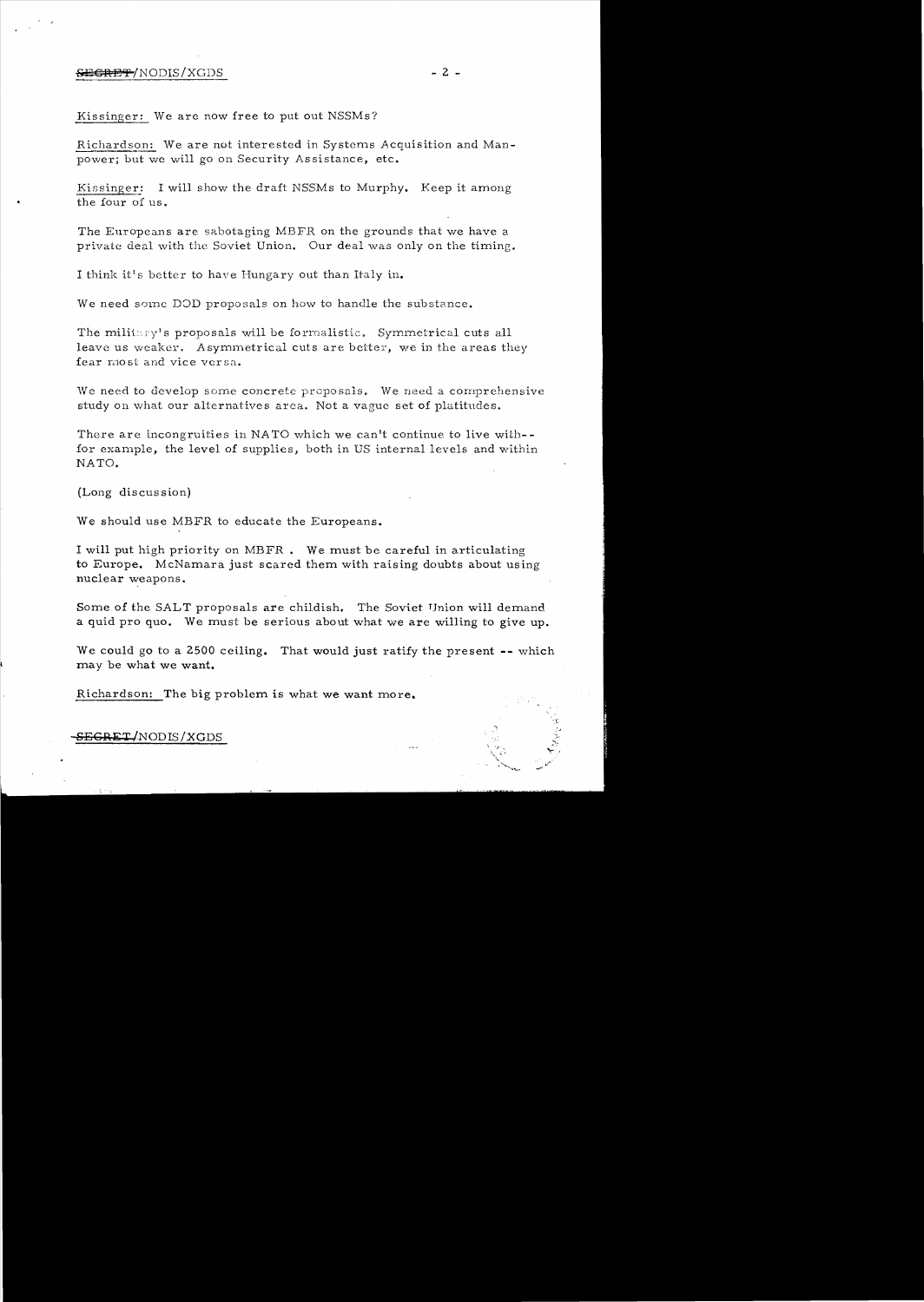### S<del>ECRET</del>/NODIS/XGDS - 2 -

Kissinger: We are now free to put out NSSMs?

Richardson: We are not interested in Systems Acquisition and Man power; but we will go on Security As sistance, etc.

Kissinger: I will show the draft NSSMs to Murphy. Keep it among the four of us.

The Europeans are sabotaging MBFR on the grounds that we have a private deal with the Soviet Union. Our deal was only on the timing.

I think it's better to have Hungary out than Italy in.

We need some DOD proposals on how to handle the substance.

The militry's proposals will be formalistic. Symmetrical cuts all leave us weaker. Asymmetrical cuts are better, we in the areas they fear most and vice versa.

We need to develop some concrete proposals. We need a comprehensive study on what our alternatives area. Not a vague set of platitudes.

There are incongruities in NATO which we can't continue to live with- $$ for example, the level of supplies, both in US internal levels and within NATO.

(Long discus sion)

We should use MBFR to educate the Europeans.

I will put high priority on MBFR. We must be careful in articulating to Europe. McNamara just scared them with raising doubts about using nuclear weapons.

Some of the SALT proposals are childish. The Soviet Union will demand a quid pro quo. We must be serious about what we are willing to give up.

We could go to a 2500 ceiling. That would just ratify the present **--** which may be what we want.

Richardson: The big problem is what we want more.

**SECRM;T** *INODIS/XGDS*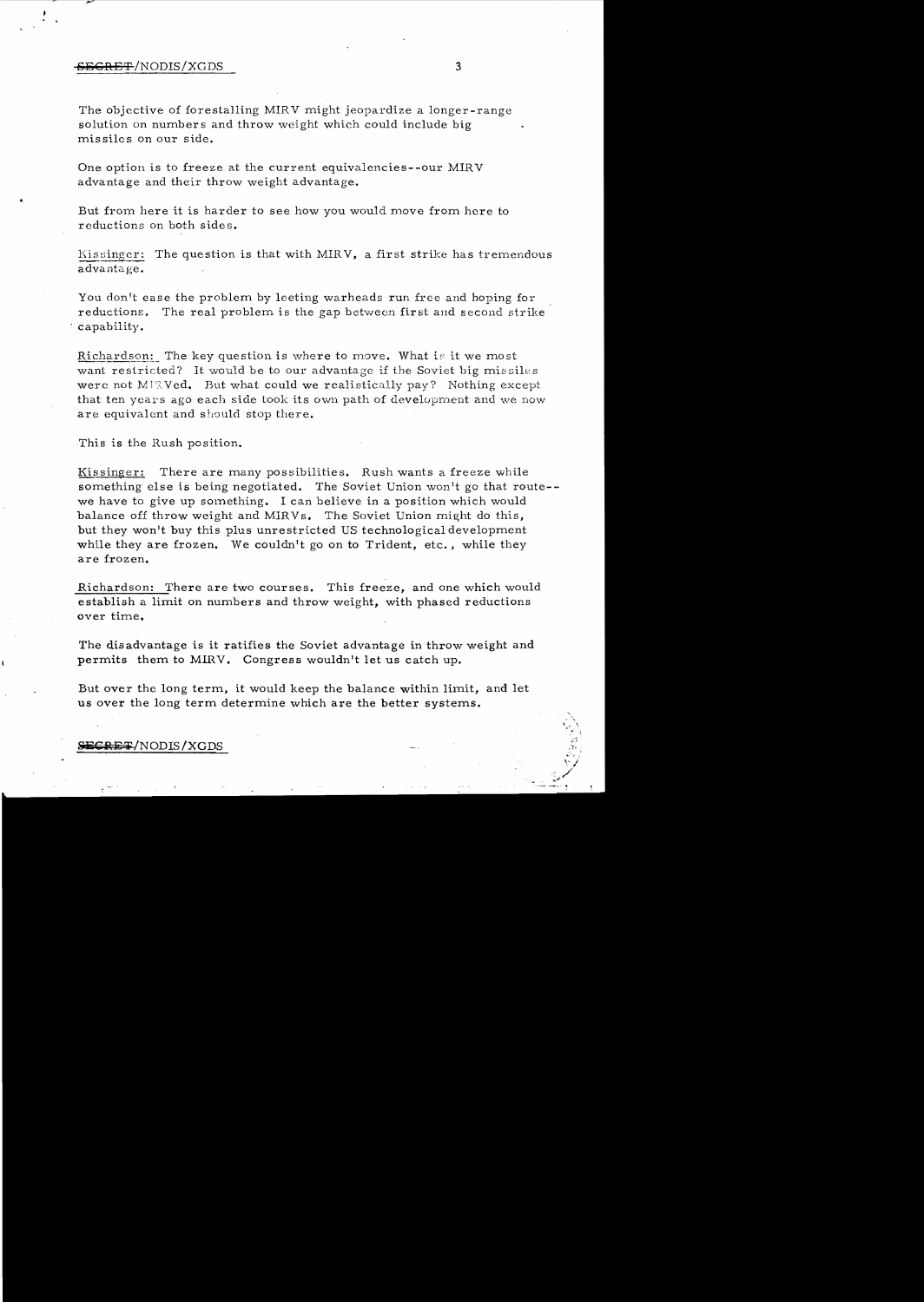#### **SBGRET**!NODIS/XGDS 3

The objective of forestalling MIRV might jeopardize a longer-range solution on numbers and throw weight which could include big missiles on our side.

One option is to freeze at the current equivalencies--our MIRV advantage and their throw weight advantage.

But from here it is harder to see how you would move from here to reductions on both sides.

Kissinger: The question is that with MIRV, a first strike has tremendous advantage.

You don't ease the problem by leeting warheads run free and hoping for reductions. The real problern is the gap between first and second strike capability.

Richardson: The key question is where to move. What is it we most want restricted? It would be to our advantage if the Soviet big missiles were not MIRVed. But what could we realistically pay? Nothing except that ten years ago each side took its own path of development and we now are equivalent and should stop there.

This is the Rush position.

Kissinger: There are many possibilities. Rush wants a freeze while something else is being negotiated. The Soviet Union won't go that route-we have to give up something. I can believe in a position which would balance off throw weight and MIRVs. The Soviet Union might do this, but they won't buy this plus unrestricted US technological development while they are frozen. We couldn't go on to Trident, etc., while they are frozen.

Richardson: There are two courses. This freeze, and one which would establish a limit on numbers and throw weight, with phased reductions over time.

The disadvantage is it ratifies the Soviet advantage in throw weight and permits them to MIRV. Congress wouldn't let us catch up.

But over the long term, it would keep the balance within limit, and let us over the long term determine which are the better systems.

#### SECRET/NODIS/XGDS

.'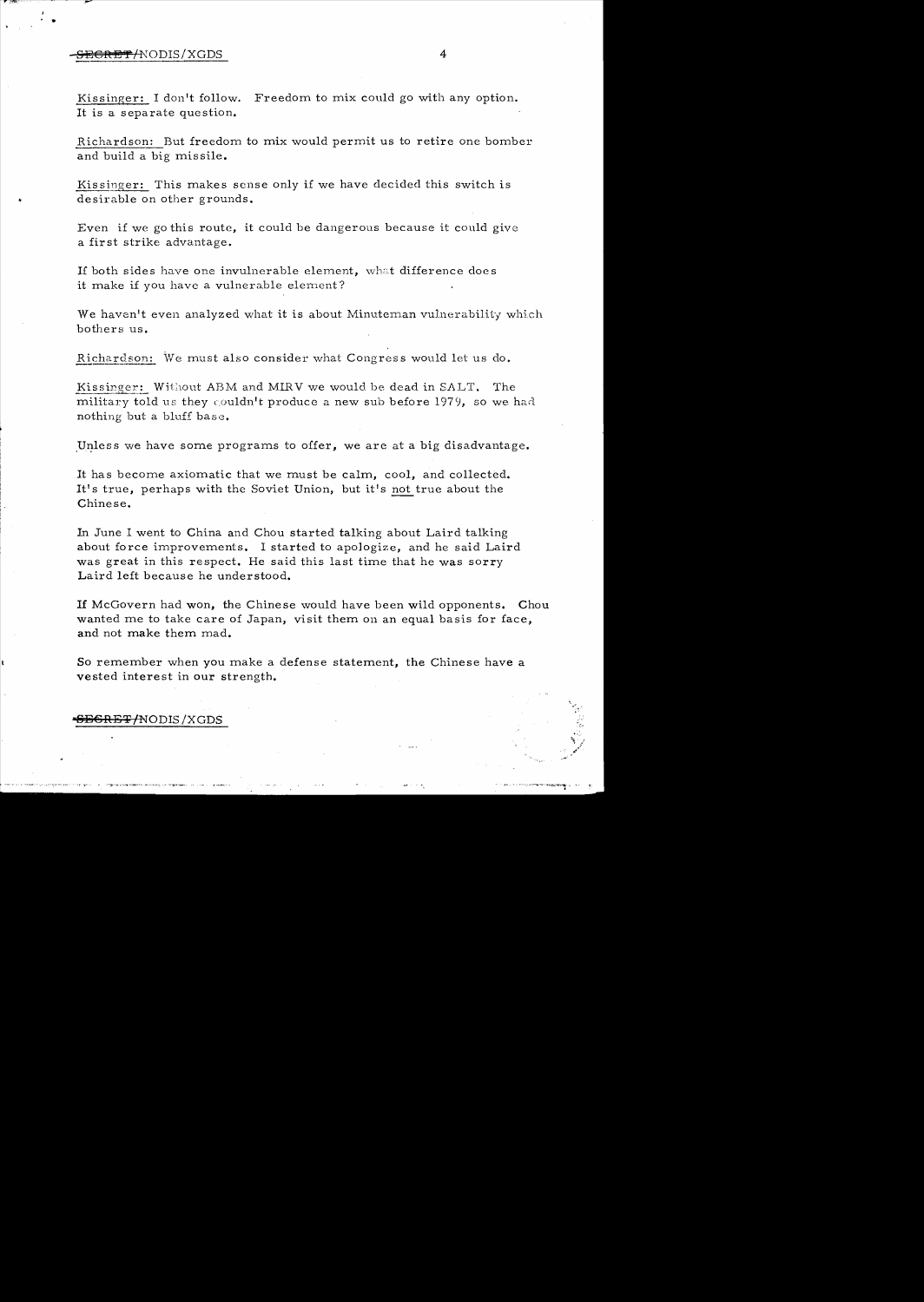## <del>SECRET</del>/NODIS/XGDS 4

•

Kissinger: I don't follow. Freedom to mix could go with any option. It is a separate question.

Richardson: But freedom to mix would permit us to retire one bomber and build a big missile.

Kissinger: This makes sense only if we have decided this switch is desirable on other grounds.

Even if we go this route, it could be dangerous because it could give a first strike advantage.

If both sides have one invulnerable element, what difference does it make if you have a vulnerable element?

We haven't even analyzed what it is about Minuteman vulnerability which bothers us.

Richardson: We must also consider what Congress would let us do.

Kissinger: Without ABM and MIRV we would be dead in SALT. The military told us they couldn't produce a new sub before 1979, so we had nothing but a bluff base.

Unless we have some programs to offer, we are at a big disadvantage.

It has become axiomatic that we must be calm, cool, and collected. It's true, perhaps with the Soviet Union, but it's not true about the Chinese.

In June I went to China and Chou started talking about Laird talking about force improvements. I started to apologize, and he said Laird was great in this respect. He said this last time that he was sorry Laird left because he understood.

If McGovern had won, the Chinese would have been wild opponents. Chou wanted me to take care of Japan, visit them on an equal basis for face, and not make them mad.

So remember when you make a defense statement, the Chinese have a vested interest in our strength.

### <del>}E6RET/</del>NODIS/XGDS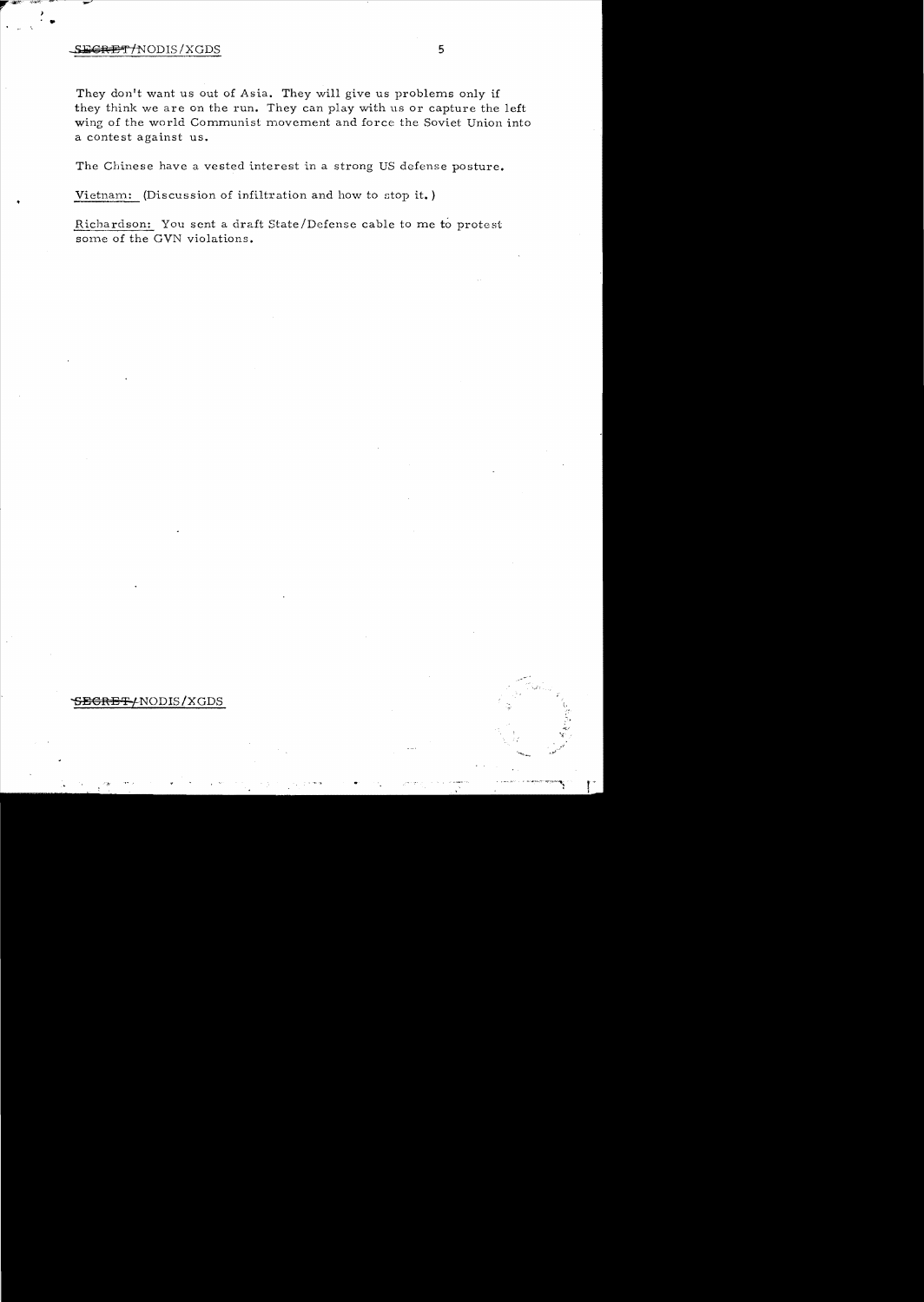# S<del>ECRET/</del>NODIS/XGDS 5

 $\frac{2}{\pi}$ 

They don't want us out of Asia. They will give us problems only if they think we are on the run. They can play with us or capture the left wing of the world Communist movement and force the Soviet Union into a contest against us.

The Chinese have a vested interest in a strong US defense posture.

Vietnam: (Discussion of infiltration and how to stop it. )

Richardson: You sent a draft State/Defense cable to me to protest some of the GVN violations.

## SEGRET-/NODIS/XGDS

, .,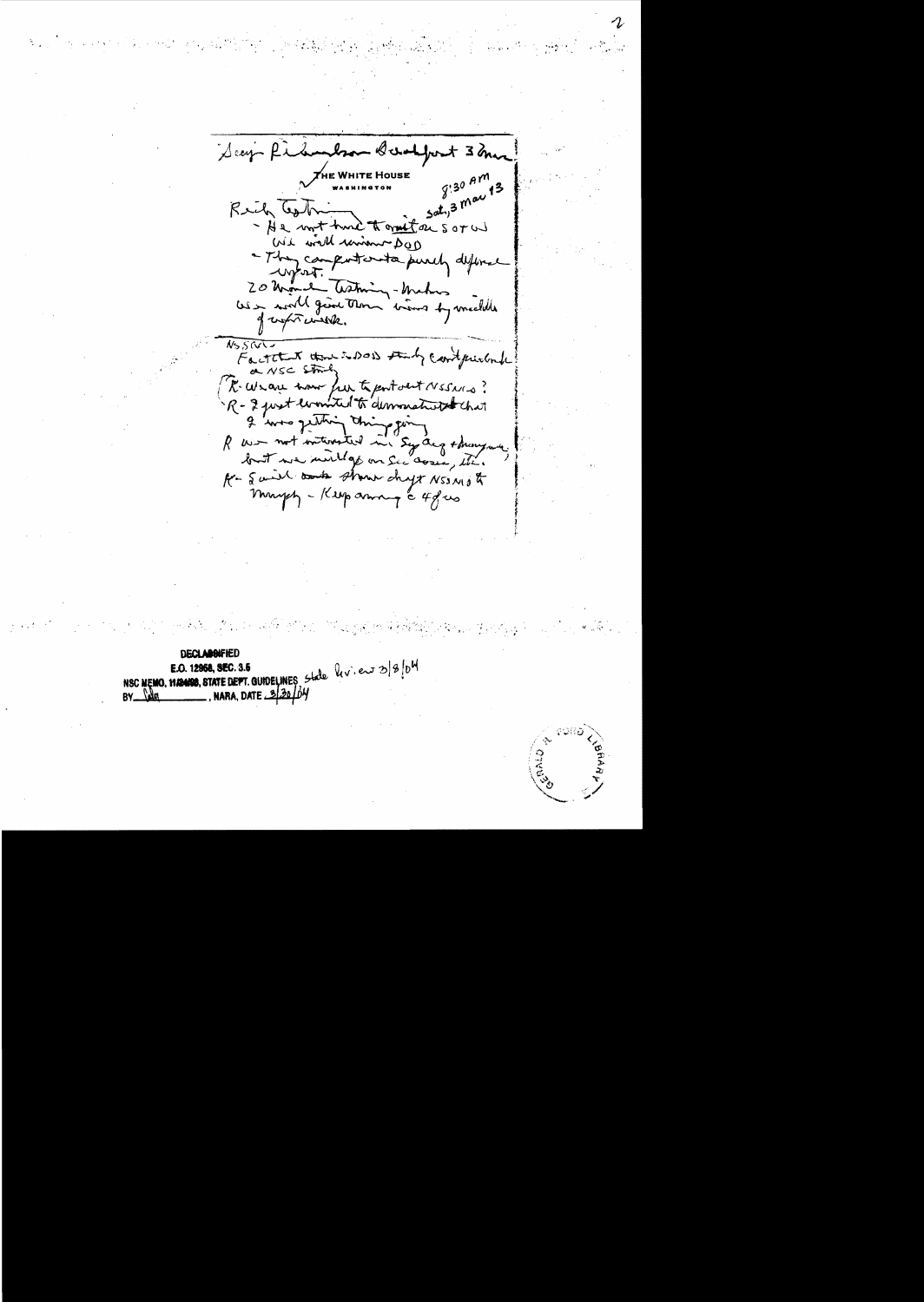Deep file boam Bundfort 3 mas  $9:30$  AM  $\vec{\chi}_{\rm HE}$  White House Saty 3 may 13 Rich Cash - He won't have to grant on soral We will union DOD - They computer to purch difine  $\sim$   $\sqrt{2}$ 20 Monde Thetming-Mahos<br>USS world genet thous bring by wielelle of works with.  $N5500$ Factitut the to DOD study contentionale a NSC String R. Weave how from to port and NESNIS? R - 2 just won'ted to demonstrated that I was getting this  $Yf^{n-1}$ R was not interested in Syracq + many man, but we will go on Sec coses, etc. A- Said and show shyt NSSMO & maypy - Keep anny a 4 gus

**DECLAIGHTED** NSC MEMO, HANDO, STATE DEPT. GUIDELINES State lev. europe , NARA, DATE 220/04 **NA** 

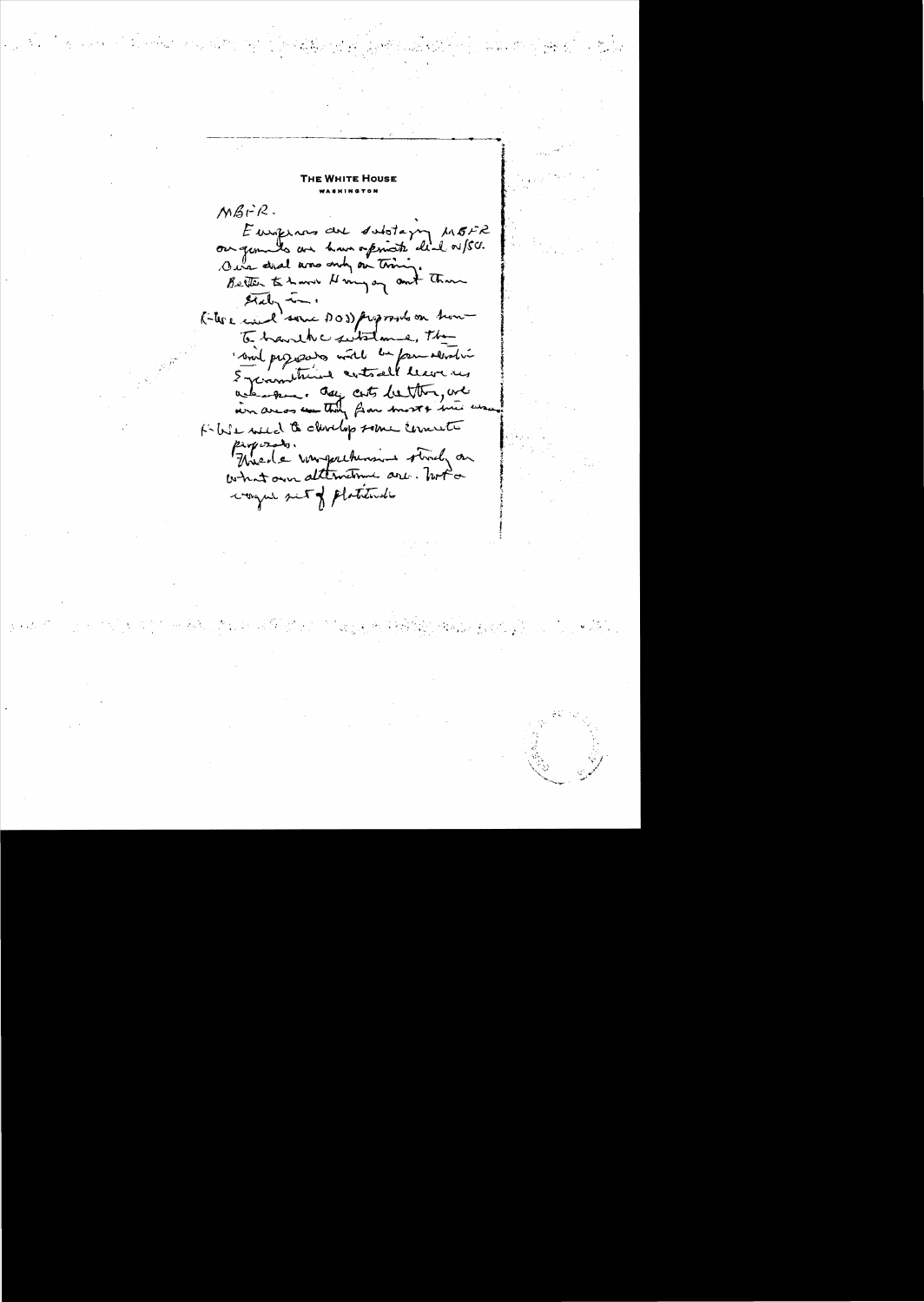Tue Wuite House  $MBrR$ . Europinas are substaying MEFR Our did and only on tring.<br>Better to have Henry on out than  $\frac{\partial^2 u}{\partial x^2}$ K-tere wind some DOD proposed on home To have with with me, the soint programs with an form revision when the a day costs better, we Kille weed to develop some concrete Proposado.<br>Thread e vousporchanant strady an what own alternations are book on wonger set of platitude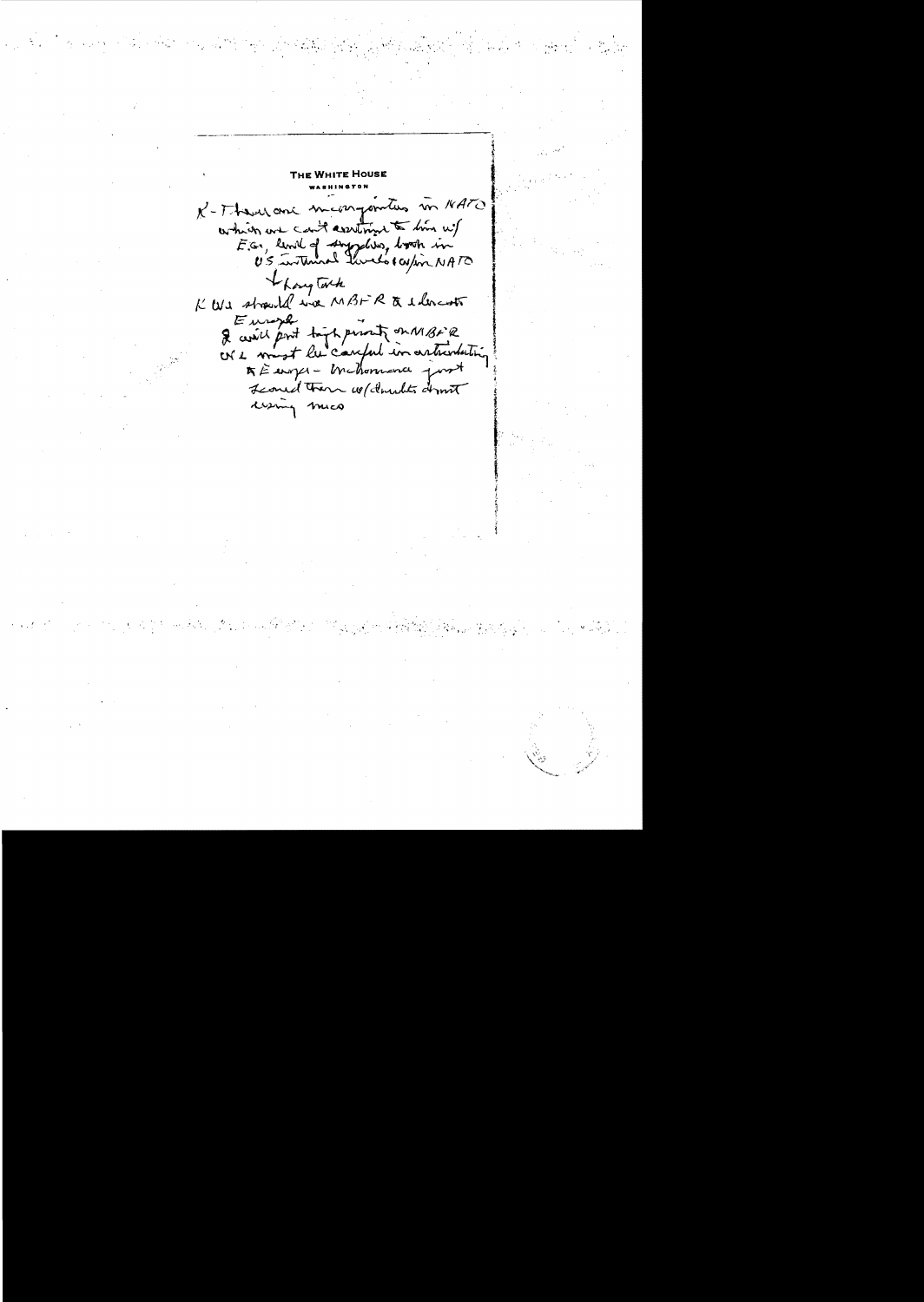THE WHITE HOUSE K-There are meangementes in 18ATO which we can't assiting to him w/<br>E.G., limit of suggelies, book in I hongtach K We strouted we MBFR & elevent Europh & assist part toget persont on MBFR<br>ON 2 most les cauful in articulating Leoned There we donates dront wing mico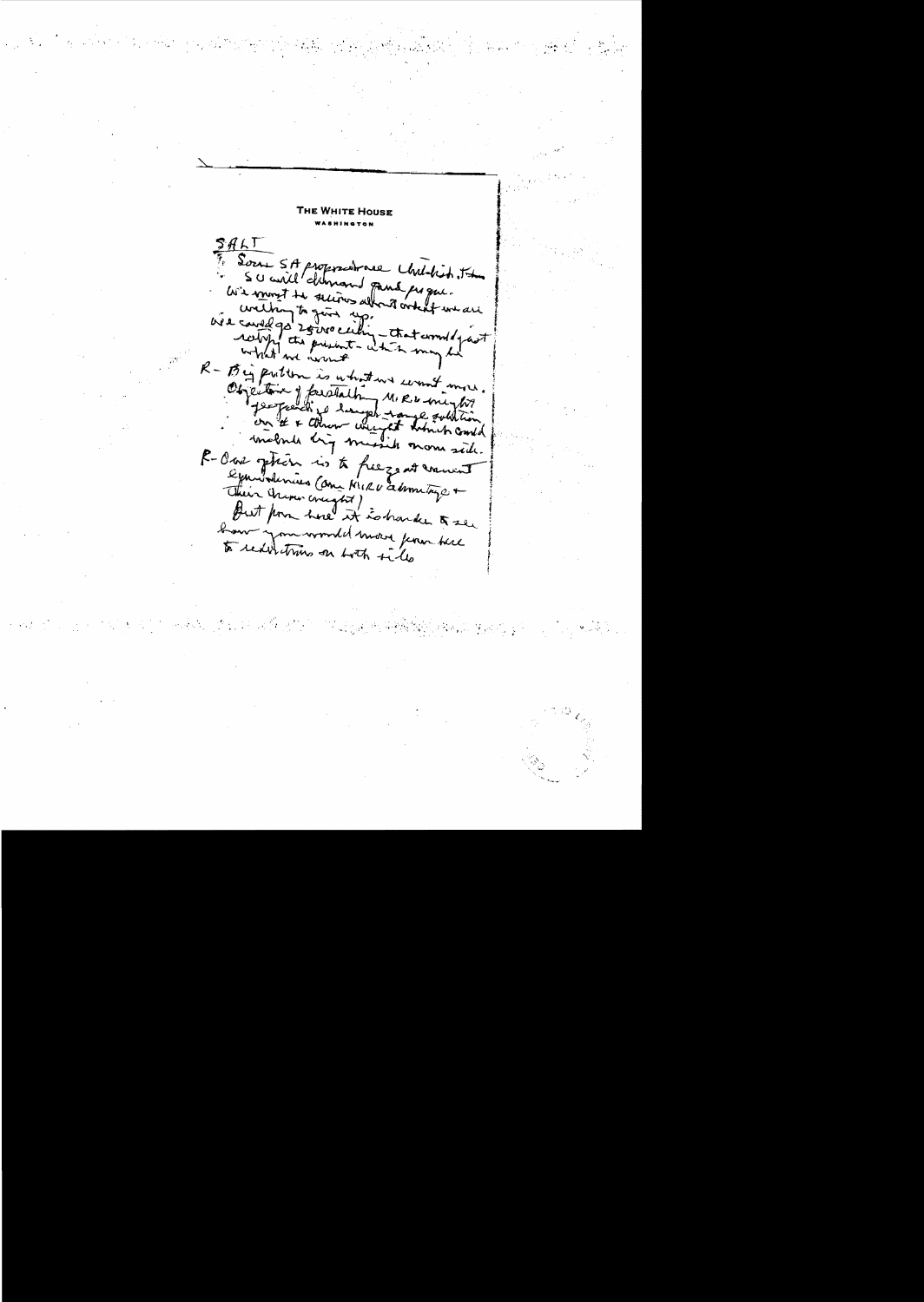**WHITE HOUSE**  $SALT$ Sour SA proposations Undekit . The  $\tilde{r}_e$ avenue il demand para populare welking to give eithing that was an well were R - Big putton is what we count more. Objective y faratalhim MIRD minhos include hig missile more side. R-Ous phon is to freeze at warrent examplimies Come MIRU administração Their truncreasured annings + haw you would move ferom there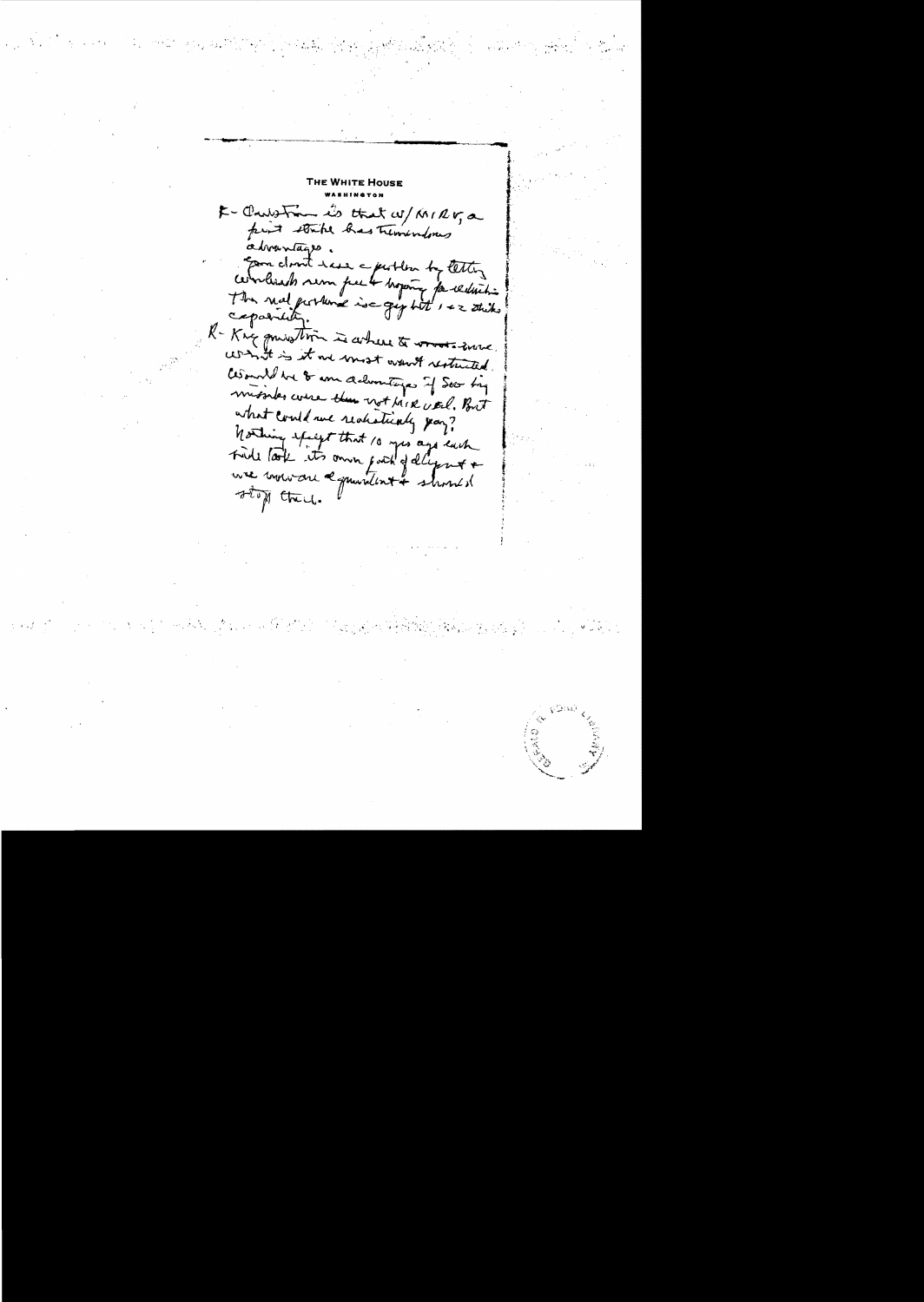WHITE Hous K - Charles From its that W/ KNIRV, a advantages concloud taxe a partir de tettes The nal portune is a gyptit 1 + 2 stike capability. R-Kng quistion is where to words some contrict is it we most want restricted. asount be 8 am delumitings if Seo by missiles course them not bink verl. But what could we realistically pay? Northing effigt that 10 yes ago each use mouvaire a quantinté shouted stop there.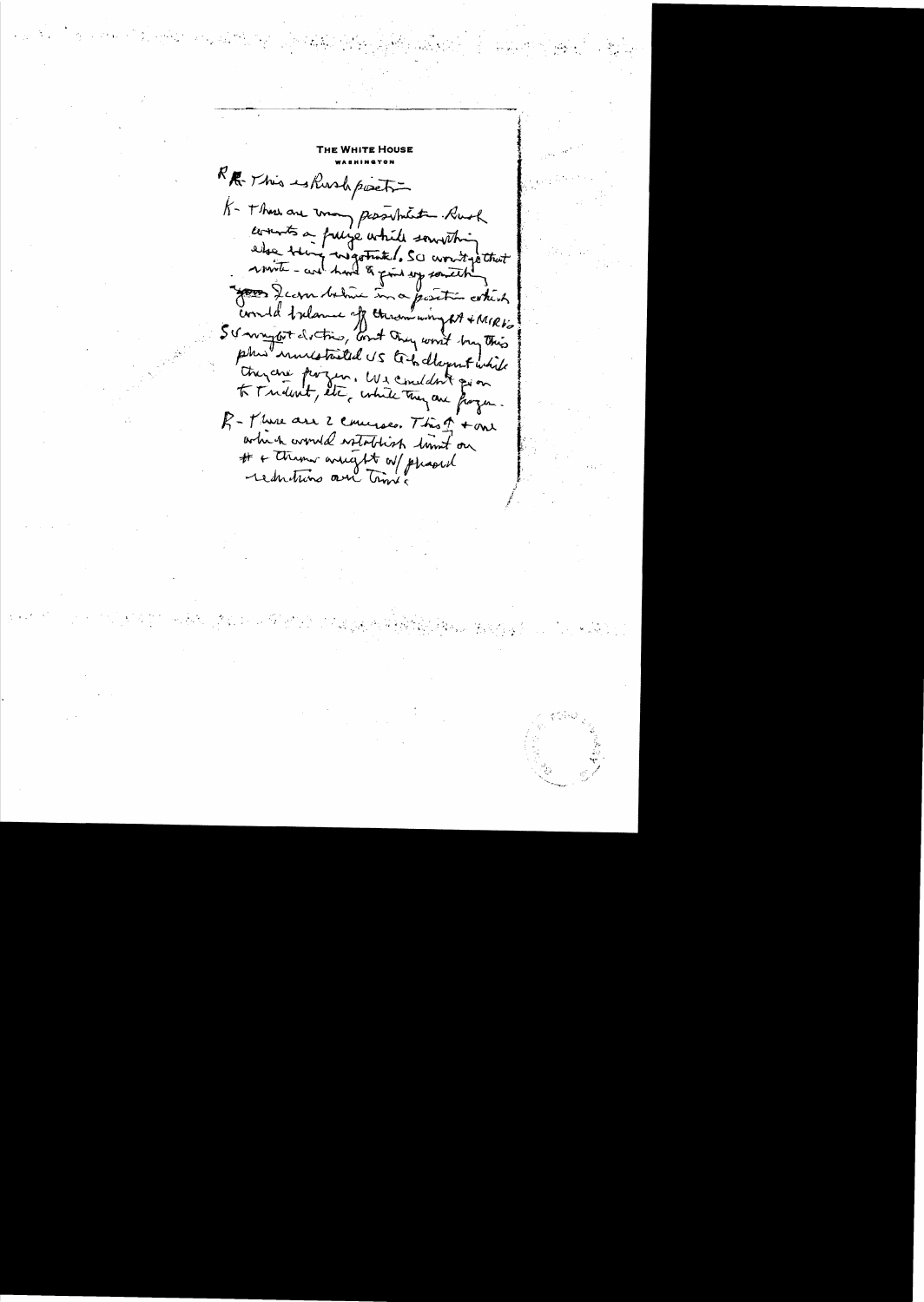KR. This eshook post K- These are treany personant Rush counts a frage while something else téries ingestrates. Sc corritge that Jean Ser debina in a position contint could trelame of throw wing at + MIRK's phis investmeted US to to deport while trazene parzen. We consident qu'on R-There are 2 concerses. This of tome which would establish timet on # + them areget of phased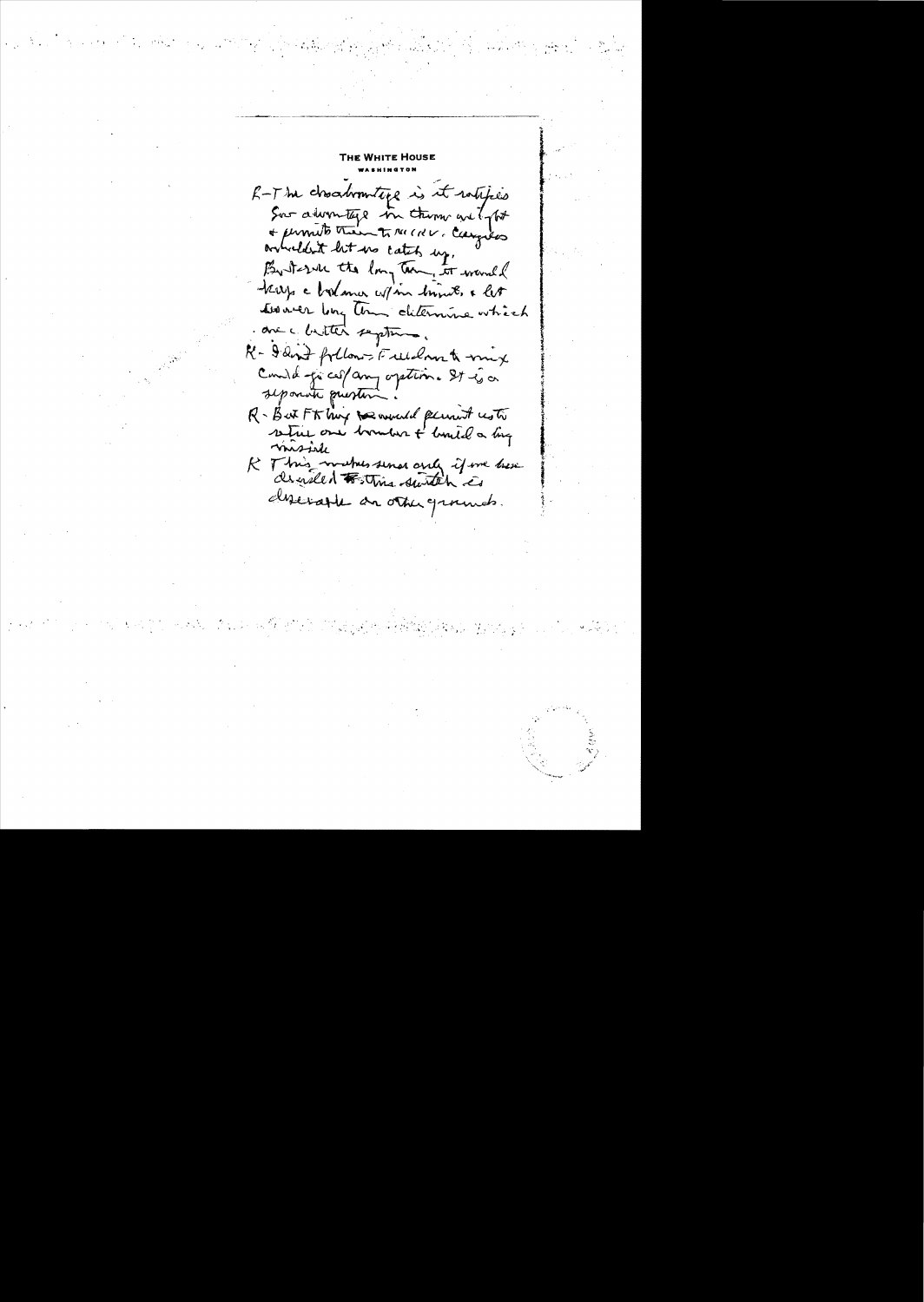R-The choodromiting is it whipes Sur advantage in them are for + permits them to the CRV. Campbes orcheldent let us catch up, 0 krys a bolance w/ in brings, & let towner long tom determine which one chitter septement R- I and follows Fullant mix Comind for ces/amy oration. It is a R-But Ft high to would permit us to misiele R This with send and if we have derivable an other granues.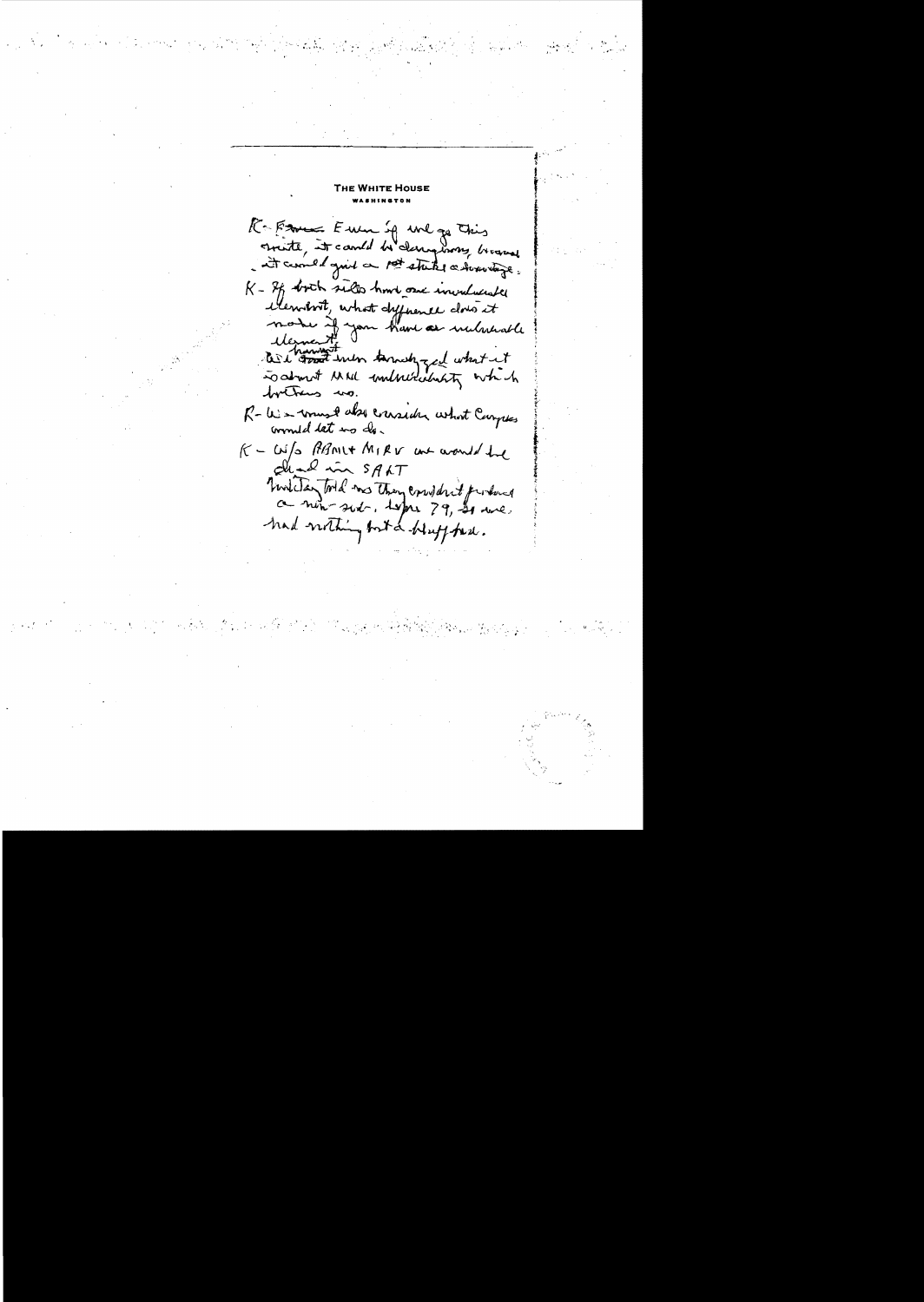**WHITE HOUSE** 

K = France Euro sq une ga This<br>Smitt, it cando be demptions brown K - If both sults hard one invaluante Membrit, what dyponee does it the house with termship and what it tretrus us. R-W = wound about crassider what Carpes K - W/s PRANIX MIRV we would the Dual in SALT Timbers tool me they considered produce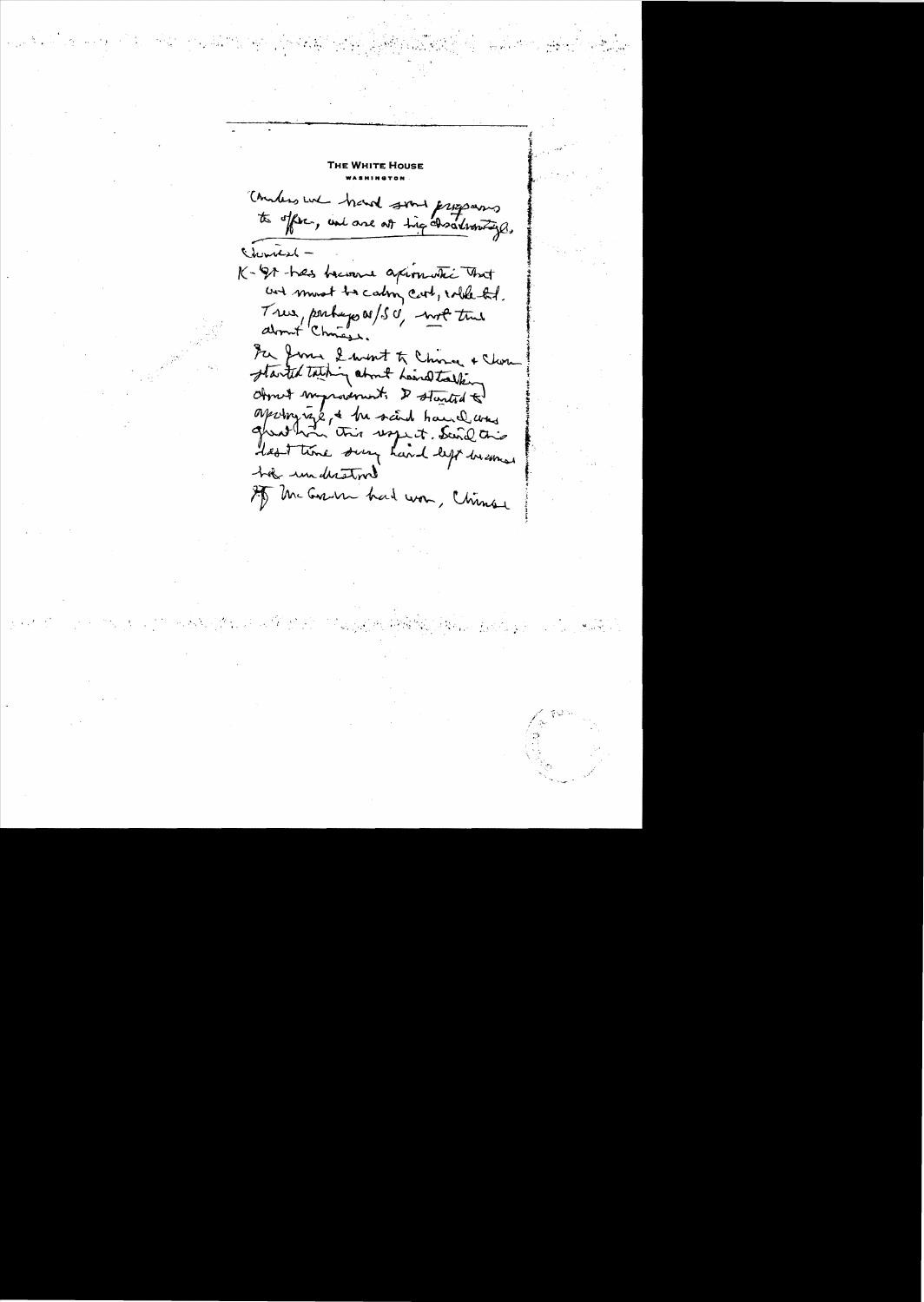WHITE House Combers we hand some programs Chemish K-91-hes heren apimotic that and must be calmy cart, while het. True, perhaps as/s c' - not true For June 2 went to China + Close Object myrosenest. I started to apringing to the said hand was lest time sury hand left becomes hat understood IT the Grant had won, Chinese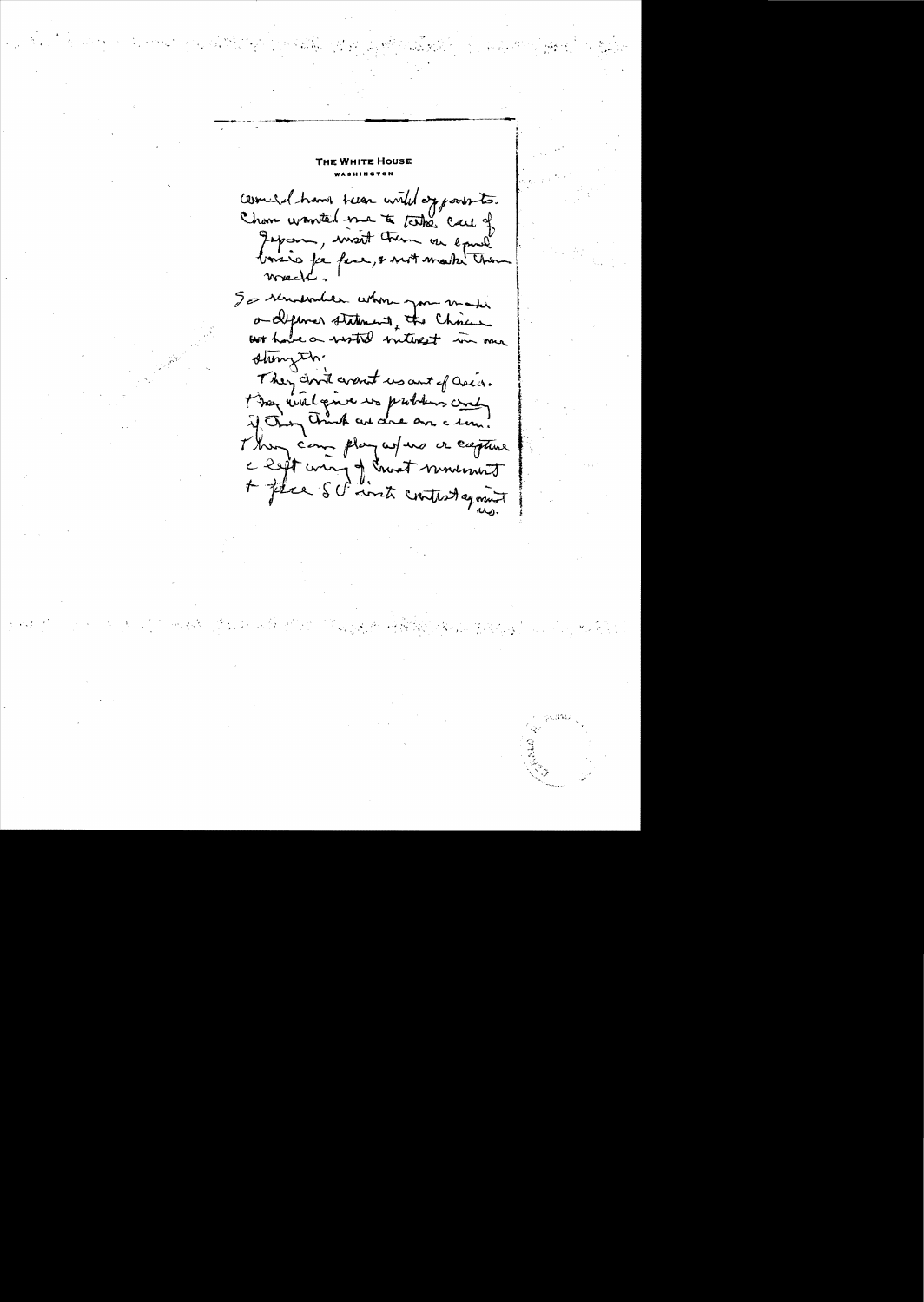WHITE HOU: Comed have teen with opposite.<br>Chan wronted me to take care of Japan, mont trem un equil Wrec So renderder when you make ordepense statement, the Chinese shingth They don't want us ant of asses. t ten wil give we problem and They came play where or eagene c left unig of court movement + flee SC into control equint